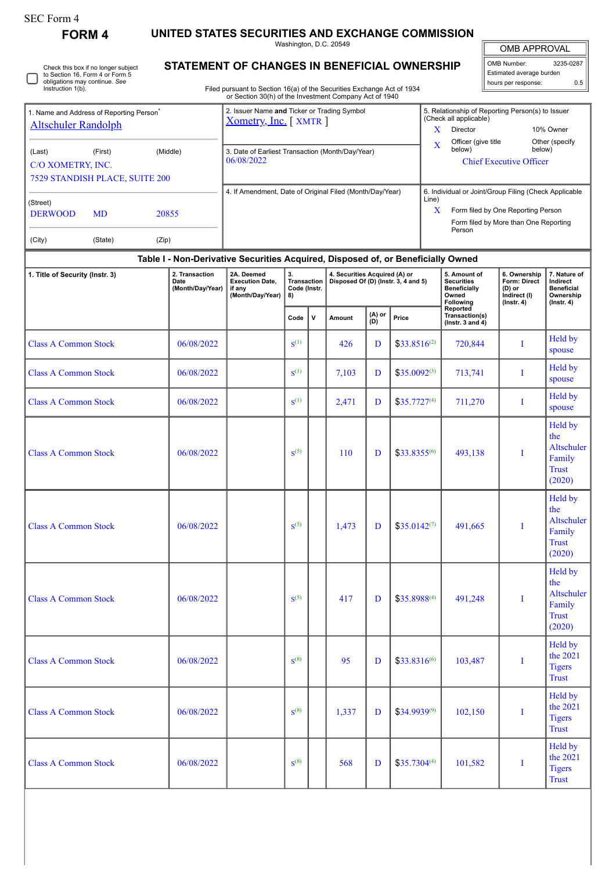# SEC Form 4

**FORM 4 UNITED STATES SECURITIES AND EXCHANGE COMMISSION**

Washington, D.C. 20549

OMB APPROVAL

| OMB Number:              | 3235-0287 |  |  |  |  |  |  |  |
|--------------------------|-----------|--|--|--|--|--|--|--|
| Estimated average burden |           |  |  |  |  |  |  |  |
| hours per response:      | 0.5       |  |  |  |  |  |  |  |

Check this box if no longer subject to Section 16. Form 4 or Form 5 obligations may continue. *See* Instruction 1(b). ∩

## **STATEMENT OF CHANGES IN BENEFICIAL OWNERSHIP**

Filed pursuant to Section 16(a) of the Securities Exchange Act of 1934 or Section 30(h) of the Investment Company Act of 1940

| 1. Name and Address of Reporting Person <sup>®</sup> |           |       | 2. Issuer Name and Ticker or Trading Symbol<br>Xometry, Inc. [XMTR] |                                | 5. Relationship of Reporting Person(s) to Issuer<br>(Check all applicable) |                          |  |  |  |
|------------------------------------------------------|-----------|-------|---------------------------------------------------------------------|--------------------------------|----------------------------------------------------------------------------|--------------------------|--|--|--|
| <b>Altschuler Randolph</b>                           |           |       |                                                                     | x                              | Director                                                                   | 10% Owner                |  |  |  |
| (Middle)<br>(Last)<br>(First)<br>C/O XOMETRY, INC.   |           |       | 3. Date of Earliest Transaction (Month/Day/Year)                    | X                              | Officer (give title<br>below)                                              | Other (specify<br>below) |  |  |  |
|                                                      |           |       | 06/08/2022                                                          | <b>Chief Executive Officer</b> |                                                                            |                          |  |  |  |
| <b>7529 STANDISH PLACE, SUITE 200</b>                |           |       |                                                                     |                                |                                                                            |                          |  |  |  |
|                                                      |           |       | 4. If Amendment, Date of Original Filed (Month/Day/Year)            | Line)                          | 6. Individual or Joint/Group Filing (Check Applicable                      |                          |  |  |  |
| (Street)<br><b>DERWOOD</b>                           | <b>MD</b> | 20855 |                                                                     | x                              | Form filed by One Reporting Person                                         |                          |  |  |  |
|                                                      |           |       |                                                                     |                                | Form filed by More than One Reporting<br>Person                            |                          |  |  |  |
| (City)                                               | (State)   | (Zip) |                                                                     |                                |                                                                            |                          |  |  |  |

### **Table I - Non-Derivative Securities Acquired, Disposed of, or Beneficially Owned**

| 1. Title of Security (Instr. 3) | 2. Transaction<br>2A. Deemed<br>3.<br>4. Securities Acquired (A) or<br><b>Execution Date,</b><br>Transaction<br>Disposed Of (D) (Instr. 3, 4 and 5)<br>Date<br>(Month/Day/Year)<br>Code (Instr.<br>if any<br>(Month/Day/Year)<br>8) |  |                  |              |        | 5. Amount of<br><b>Securities</b><br><b>Beneficially</b><br>Owned<br>Following | 6. Ownership<br>Form: Direct<br>$(D)$ or<br>Indirect (I)<br>$($ Instr. 4 $)$ | 7. Nature of<br>Indirect<br><b>Beneficial</b><br>Ownership<br>$($ Instr. 4 $)$ |   |                                                                         |  |
|---------------------------------|-------------------------------------------------------------------------------------------------------------------------------------------------------------------------------------------------------------------------------------|--|------------------|--------------|--------|--------------------------------------------------------------------------------|------------------------------------------------------------------------------|--------------------------------------------------------------------------------|---|-------------------------------------------------------------------------|--|
|                                 |                                                                                                                                                                                                                                     |  | Code             | $\mathsf{v}$ | Amount | (A) or<br>(D)                                                                  | Price                                                                        | Reported<br>Transaction(s)<br>(Instr. 3 and $4$ )                              |   |                                                                         |  |
| <b>Class A Common Stock</b>     | 06/08/2022                                                                                                                                                                                                                          |  | $S^{(1)}$        |              | 426    | D                                                                              | $$33.8516^{(2)}$                                                             | 720,844                                                                        | T | Held by<br>spouse                                                       |  |
| <b>Class A Common Stock</b>     | 06/08/2022                                                                                                                                                                                                                          |  | $S^{(1)}$        |              | 7,103  | D                                                                              | $$35.0092^{(3)}$$                                                            | 713,741                                                                        | I | Held by<br>spouse                                                       |  |
| <b>Class A Common Stock</b>     | 06/08/2022                                                                                                                                                                                                                          |  | $S^{(1)}$        |              | 2,471  | D                                                                              | $$35.7727^{(4)}$                                                             | 711,270                                                                        | I | Held by<br>spouse                                                       |  |
| <b>Class A Common Stock</b>     | 06/08/2022                                                                                                                                                                                                                          |  | S <sup>(5)</sup> |              | 110    | D                                                                              | \$33.8355(6)                                                                 | 493,138                                                                        | T | <b>Held by</b><br>the<br>Altschuler<br>Family<br><b>Trust</b><br>(2020) |  |
| <b>Class A Common Stock</b>     | 06/08/2022                                                                                                                                                                                                                          |  | S <sup>(5)</sup> |              | 1,473  | D                                                                              | $$35.0142^{(7)}$                                                             | 491,665                                                                        | T | Held by<br>the<br>Altschuler<br>Family<br><b>Trust</b><br>(2020)        |  |
| <b>Class A Common Stock</b>     | 06/08/2022                                                                                                                                                                                                                          |  | $S^{(5)}$        |              | 417    | D                                                                              | $$35.8988^{(4)}$                                                             | 491,248                                                                        | I | Held by<br>the<br>Altschuler<br>Family<br><b>Trust</b><br>(2020)        |  |
| <b>Class A Common Stock</b>     | 06/08/2022                                                                                                                                                                                                                          |  | $S^{(8)}$        |              | 95     | D                                                                              | $$33.8316^{(6)}$                                                             | 103,487                                                                        | I | Held by<br>the 2021<br><b>Tigers</b><br><b>Trust</b>                    |  |
| <b>Class A Common Stock</b>     | 06/08/2022                                                                                                                                                                                                                          |  | $S^{(8)}$        |              | 1,337  | D                                                                              | \$34.9939(9)                                                                 | 102,150                                                                        | I | <b>Held by</b><br>the 2021<br><b>Tigers</b><br><b>Trust</b>             |  |
| <b>Class A Common Stock</b>     | 06/08/2022                                                                                                                                                                                                                          |  | $S^{(8)}$        |              | 568    | D                                                                              | $$35.7304^{(4)}$                                                             | 101,582                                                                        | T | Held by<br>the 2021<br><b>Tigers</b><br><b>Trust</b>                    |  |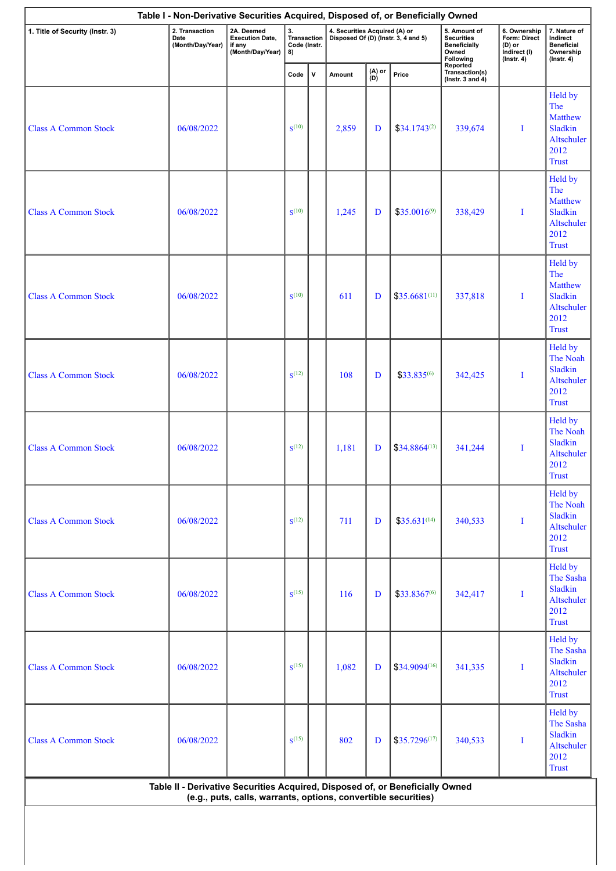|                             | 2A. Deemed<br>2. Transaction<br>3.<br>1. Title of Security (Instr. 3)<br><b>Execution Date,</b><br>Date<br>(Month/Day/Year)<br>if any<br>(Month/Day/Year)<br>8) |  | Transaction<br>Code (Instr. |               |        |               | 4. Securities Acquired (A) or<br>Disposed Of (D) (Instr. 3, 4 and 5) | 5. Amount of<br><b>Securities</b><br><b>Beneficially</b><br>Owned<br>Following | 6. Ownership<br>Form: Direct<br>(D) or<br>Indirect (I)<br>$($ Instr. 4 $)$ | 7. Nature of<br>Indirect<br><b>Beneficial</b><br>Ownership<br>$($ Instr. 4 $)$           |
|-----------------------------|-----------------------------------------------------------------------------------------------------------------------------------------------------------------|--|-----------------------------|---------------|--------|---------------|----------------------------------------------------------------------|--------------------------------------------------------------------------------|----------------------------------------------------------------------------|------------------------------------------------------------------------------------------|
|                             |                                                                                                                                                                 |  | Code                        | ${\mathsf v}$ | Amount | (A) or<br>(D) | Price                                                                | Reported<br>Transaction(s)<br>(Instr. 3 and $4$ )                              |                                                                            |                                                                                          |
| <b>Class A Common Stock</b> | 06/08/2022                                                                                                                                                      |  | $S^{(10)}$                  |               | 2,859  | D             | $$34.1743^{(2)}$                                                     | 339,674                                                                        | I                                                                          | Held by<br>The<br><b>Matthew</b><br><b>Sladkin</b><br>Altschuler<br>2012<br><b>Trust</b> |
| <b>Class A Common Stock</b> | 06/08/2022                                                                                                                                                      |  | $S^{(10)}$                  |               | 1,245  | D             | $$35.0016^{(9)}$                                                     | 338,429                                                                        | I                                                                          | Held by<br>The<br>Matthew<br><b>Sladkin</b><br>Altschuler<br>2012<br><b>Trust</b>        |
| <b>Class A Common Stock</b> | 06/08/2022                                                                                                                                                      |  | $S^{(10)}$                  |               | 611    | D             | $$35.6681^{(11)}$                                                    | 337,818                                                                        | I                                                                          | Held by<br>The<br><b>Matthew</b><br>Sladkin<br>Altschuler<br>2012<br><b>Trust</b>        |
| <b>Class A Common Stock</b> | 06/08/2022                                                                                                                                                      |  | $S^{(12)}$                  |               | 108    | D             | \$33.835(6)                                                          | 342,425                                                                        | I                                                                          | Held by<br>The Noah<br>Sladkin<br>Altschuler<br>2012<br><b>Trust</b>                     |
| <b>Class A Common Stock</b> | 06/08/2022                                                                                                                                                      |  | $S^{(12)}$                  |               | 1,181  | D             | $$34.8864^{(13)}$                                                    | 341,244                                                                        | I                                                                          | Held by<br>The Noah<br>Sladkin<br>Altschuler<br>2012<br><b>Trust</b>                     |
| <b>Class A Common Stock</b> | 06/08/2022                                                                                                                                                      |  | $S^{(12)}$                  |               | 711    | D             | $$35.631^{(14)}$                                                     | 340,533                                                                        | $\bf{I}$                                                                   | Held by<br>The Noah<br>Sladkin<br>Altschuler<br>2012<br><b>Trust</b>                     |
| <b>Class A Common Stock</b> | 06/08/2022                                                                                                                                                      |  | $S^{(15)}$                  |               | 116    | D             | \$33.8367(6)                                                         | 342,417                                                                        | I                                                                          | Held by<br>The Sasha<br>Sladkin<br>Altschuler<br>2012<br><b>Trust</b>                    |
| <b>Class A Common Stock</b> | 06/08/2022                                                                                                                                                      |  | $S^{(15)}$                  |               | 1,082  | D             | $$34.9094^{(16)}$                                                    | 341,335                                                                        | I                                                                          | Held by<br>The Sasha<br>Sladkin<br>Altschuler<br>2012<br><b>Trust</b>                    |
| <b>Class A Common Stock</b> | 06/08/2022                                                                                                                                                      |  | $S^{(15)}$                  |               | 802    | D             | $$35.7296^{(17)}$                                                    | 340,533                                                                        | $\bf{I}$                                                                   | Held by<br>The Sasha<br>Sladkin<br>Altschuler<br>2012                                    |